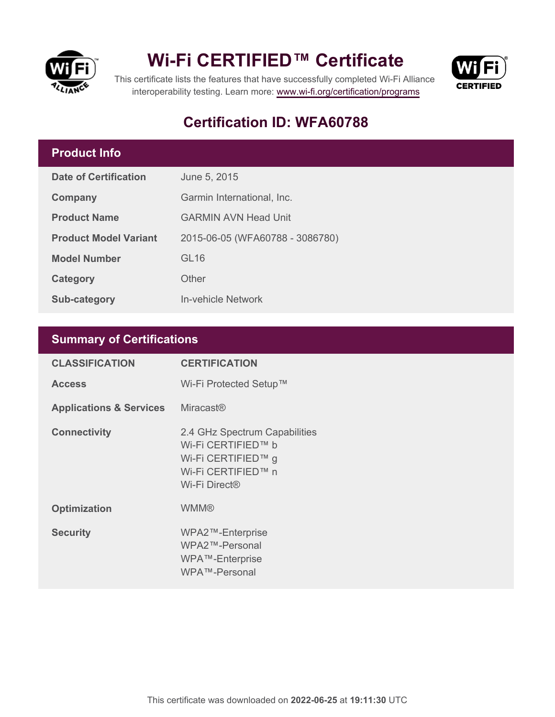

## **Wi-Fi CERTIFIED™ Certificate**



This certificate lists the features that have successfully completed Wi-Fi Alliance interoperability testing. Learn more:<www.wi-fi.org/certification/programs>

### **Certification ID: WFA60788**

#### **Product Info**

| Date of Certification        | June 5, 2015                    |
|------------------------------|---------------------------------|
| Company                      | Garmin International, Inc.      |
| <b>Product Name</b>          | <b>GARMIN AVN Head Unit</b>     |
| <b>Product Model Variant</b> | 2015-06-05 (WFA60788 - 3086780) |
| <b>Model Number</b>          | GL16                            |
| Category                     | Other                           |
| Sub-category                 | In-vehicle Network              |

### **Summary of Certifications**

| <b>CLASSIFICATION</b>              | <b>CERTIFICATION</b>                                                                                                         |
|------------------------------------|------------------------------------------------------------------------------------------------------------------------------|
| <b>Access</b>                      | Wi-Fi Protected Setup™                                                                                                       |
| <b>Applications &amp; Services</b> | <b>Miracast®</b>                                                                                                             |
| <b>Connectivity</b>                | 2.4 GHz Spectrum Capabilities<br>Wi-Fi CERTIFIED™ b<br>Wi-Fi CERTIFIED™ g<br>Wi-Fi CERTIFIED™ n<br>Wi-Fi Direct <sup>®</sup> |
| <b>Optimization</b>                | <b>WMM®</b>                                                                                                                  |
| <b>Security</b>                    | WPA2™-Enterprise<br>WPA2™-Personal<br>WPA™-Enterprise<br>WPA™-Personal                                                       |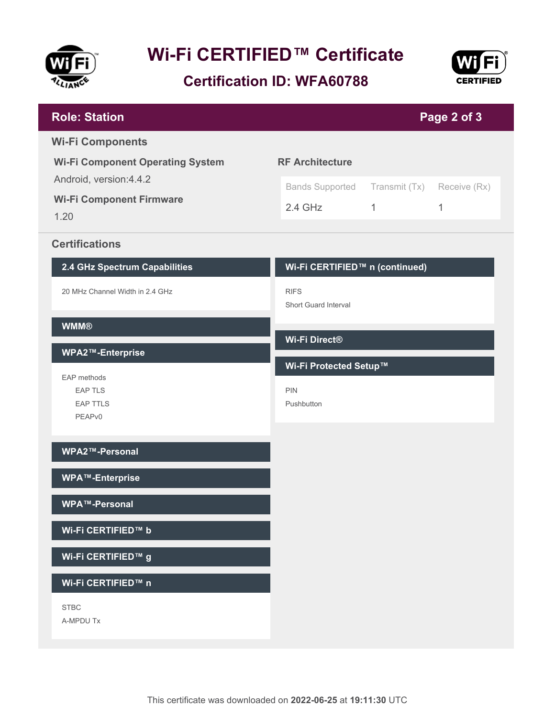

# **Wi-Fi CERTIFIED™ Certificate**

### **Certification ID: WFA60788**



| <b>Role: Station</b>                    |                                |               | Page 2 of 3  |
|-----------------------------------------|--------------------------------|---------------|--------------|
| <b>Wi-Fi Components</b>                 |                                |               |              |
| <b>Wi-Fi Component Operating System</b> | <b>RF Architecture</b>         |               |              |
| Android, version: 4.4.2                 | <b>Bands Supported</b>         | Transmit (Tx) | Receive (Rx) |
| <b>Wi-Fi Component Firmware</b><br>1.20 | $2.4$ GHz                      | $\mathbf{1}$  | 1            |
|                                         |                                |               |              |
| <b>Certifications</b>                   |                                |               |              |
| 2.4 GHz Spectrum Capabilities           | Wi-Fi CERTIFIED™ n (continued) |               |              |
| 20 MHz Channel Width in 2.4 GHz         | <b>RIFS</b>                    |               |              |
| <b>WMM®</b>                             | Short Guard Interval           |               |              |
|                                         | Wi-Fi Direct®                  |               |              |
| WPA2™-Enterprise                        | Wi-Fi Protected Setup™         |               |              |
| EAP methods<br><b>EAP TLS</b>           | <b>PIN</b>                     |               |              |
| <b>EAP TTLS</b>                         | Pushbutton                     |               |              |
| PEAPv0                                  |                                |               |              |
| WPA2™-Personal                          |                                |               |              |
| <b>WPA™-Enterprise</b>                  |                                |               |              |
|                                         |                                |               |              |
| WPA™-Personal                           |                                |               |              |
| Wi-Fi CERTIFIED™ b                      |                                |               |              |
| Wi-Fi CERTIFIED™ g                      |                                |               |              |
| Wi-Fi CERTIFIED™ n                      |                                |               |              |
| <b>STBC</b>                             |                                |               |              |
| A-MPDU Tx                               |                                |               |              |